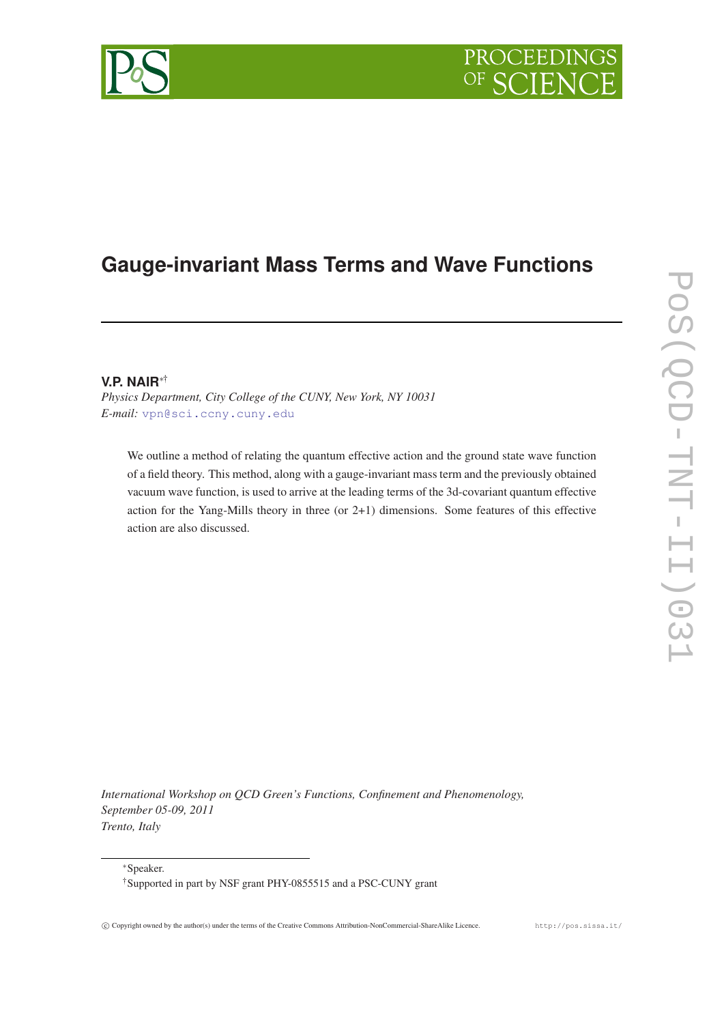# PROCEEDIN

# **Gauge-invariant Mass Terms and Wave Functions**

# **V.P. NAIR**∗†

*Physics Department, City College of the CUNY, New York, NY 10031 E-mail:* [vpn@sci.ccny.cuny.edu](mailto:vpn@sci.ccny.cuny.edu)

We outline a method of relating the quantum effective action and the ground state wave function of a field theory. This method, along with a gauge-invariant mass term and the previously obtained vacuum wave function, is used to arrive at the leading terms of the 3d-covariant quantum effective action for the Yang-Mills theory in three (or 2+1) dimensions. Some features of this effective action are also discussed.

*International Workshop on QCD Green's Functions, Confinement and Phenomenology, September 05-09, 2011 Trento, Italy*

<sup>∗</sup>Speaker.



<sup>†</sup>Supported in part by NSF grant PHY-0855515 and a PSC-CUNY grant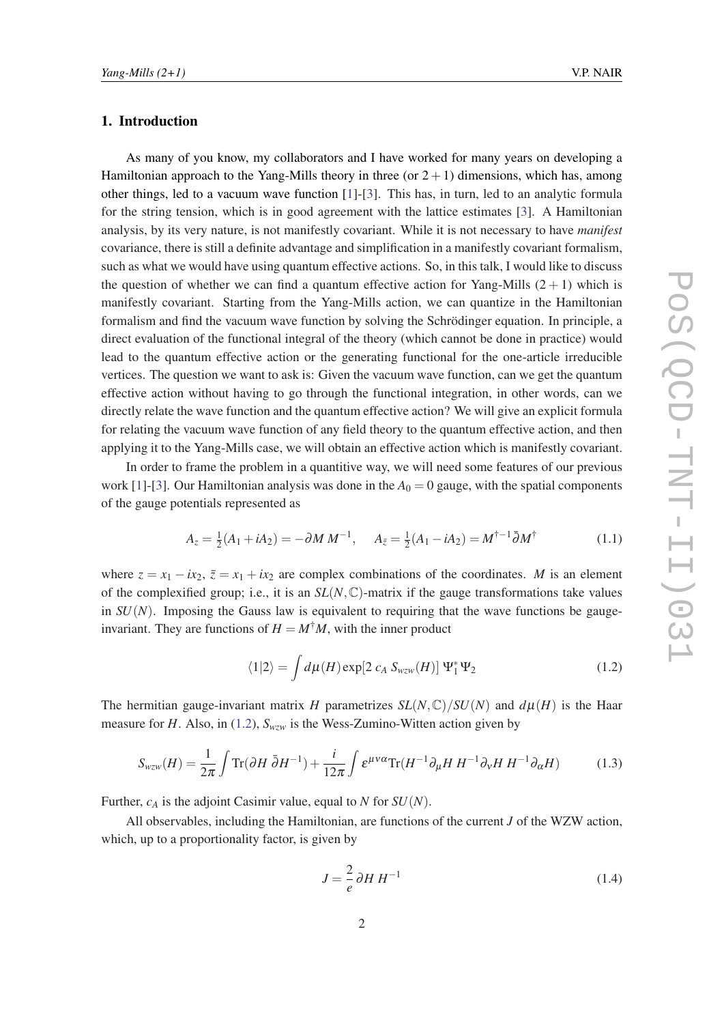# <span id="page-1-0"></span>1. Introduction

As many of you know, my collaborators and I have worked for many years on developing a Hamiltonian approach to the Yang-Mills theory in three (or  $2+1$ ) dimensions, which has, among other things, led to a vacuum wave function [\[1\]](#page-8-0)-[[3](#page-9-0)]. This has, in turn, led to an analytic formula for the string tension, which is in good agreement with the lattice estimates [\[3\]](#page-9-0). A Hamiltonian analysis, by its very nature, is not manifestly covariant. While it is not necessary to have *manifest* covariance, there is still a definite advantage and simplification in a manifestly covariant formalism, such as what we would have using quantum effective actions. So, in this talk, I would like to discuss the question of whether we can find a quantum effective action for Yang-Mills  $(2 + 1)$  which is manifestly covariant. Starting from the Yang-Mills action, we can quantize in the Hamiltonian formalism and find the vacuum wave function by solving the Schrödinger equation. In principle, a direct evaluation of the functional integral of the theory (which cannot be done in practice) would lead to the quantum effective action or the generating functional for the one-article irreducible vertices. The question we want to ask is: Given the vacuum wave function, can we get the quantum effective action without having to go through the functional integration, in other words, can we directly relate the wave function and the quantum effective action? We will give an explicit formula for relating the vacuum wave function of any field theory to the quantum effective action, and then applying it to the Yang-Mills case, we will obtain an effective action which is manifestly covariant.

In order to frame the problem in a quantitive way, we will need some features of our previous work [[1](#page-8-0)]-[\[3\]](#page-9-0). Our Hamiltonian analysis was done in the  $A_0 = 0$  gauge, with the spatial components of the gauge potentials represented as

$$
A_z = \frac{1}{2}(A_1 + iA_2) = -\partial M M^{-1}, \quad A_{\bar{z}} = \frac{1}{2}(A_1 - iA_2) = M^{\dagger - 1} \bar{\partial} M^{\dagger}
$$
(1.1)

where  $z = x_1 - ix_2$ ,  $\bar{z} = x_1 + ix_2$  are complex combinations of the coordinates. *M* is an element of the complexified group; i.e., it is an  $SL(N,\mathbb{C})$ -matrix if the gauge transformations take values in  $SU(N)$ . Imposing the Gauss law is equivalent to requiring that the wave functions be gaugeinvariant. They are functions of  $H = M^{\dagger}M$ , with the inner product

$$
\langle 1|2 \rangle = \int d\mu(H) \exp[2 c_A S_{wzw}(H)] \Psi_1^* \Psi_2 \qquad (1.2)
$$

The hermitian gauge-invariant matrix *H* parametrizes  $SL(N, \mathbb{C})/SU(N)$  and  $d\mu(H)$  is the Haar measure for *H*. Also, in (1.2),  $S_{wzw}$  is the Wess-Zumino-Witten action given by

$$
S_{wzw}(H) = \frac{1}{2\pi} \int \text{Tr}(\partial H \, \bar{\partial} H^{-1}) + \frac{i}{12\pi} \int \varepsilon^{\mu\nu\alpha} \text{Tr}(H^{-1} \partial_{\mu} H \, H^{-1} \partial_{\nu} H \, H^{-1} \partial_{\alpha} H) \tag{1.3}
$$

Further, *c<sup>A</sup>* is the adjoint Casimir value, equal to *N* for *SU*(*N*).

All observables, including the Hamiltonian, are functions of the current *J* of the WZW action, which, up to a proportionality factor, is given by

$$
J = \frac{2}{e} \partial H H^{-1} \tag{1.4}
$$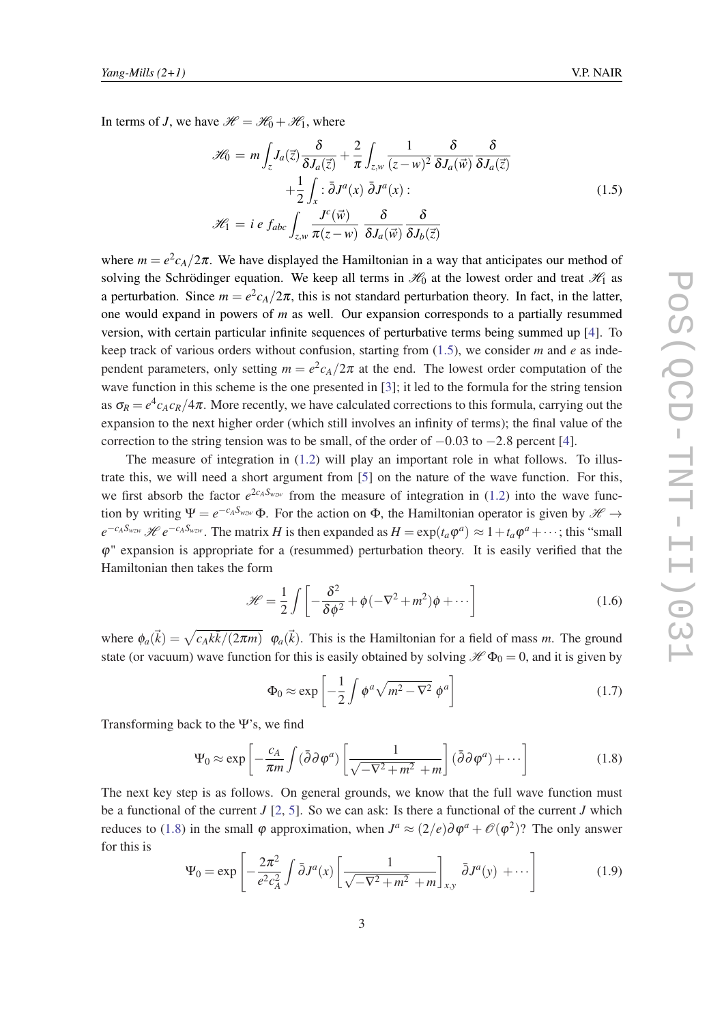<span id="page-2-0"></span>In terms of *J*, we have  $\mathcal{H} = \mathcal{H}_0 + \mathcal{H}_1$ , where

$$
\mathcal{H}_0 = m \int_z J_a(\vec{z}) \frac{\delta}{\delta J_a(\vec{z})} + \frac{2}{\pi} \int_{z,w} \frac{1}{(z-w)^2} \frac{\delta}{\delta J_a(\vec{w})} \frac{\delta}{\delta J_a(\vec{z})} \n+ \frac{1}{2} \int_x : \bar{\partial} J^a(x) \bar{\partial} J^a(x) : \n\mathcal{H}_1 = i e f_{abc} \int_{z,w} \frac{J^c(\vec{w})}{\pi(z-w)} \frac{\delta}{\delta J_a(\vec{w})} \frac{\delta}{\delta J_b(\vec{z})}
$$
\n(1.5)

where  $m = e^2 c_A/2\pi$ . We have displayed the Hamiltonian in a way that anticipates our method of solving the Schrödinger equation. We keep all terms in  $\mathcal{H}_0$  at the lowest order and treat  $\mathcal{H}_1$  as a perturbation. Since  $m = e^2 c_A/2\pi$ , this is not standard perturbation theory. In fact, in the latter, one would expand in powers of *m* as well. Our expansion corresponds to a partially resummed version, with certain particular infinite sequences of perturbative terms being summed up [\[4](#page-9-0)]. To keep track of various orders without confusion, starting from (1.5), we consider *m* and *e* as independent parameters, only setting  $m = e^2 c_A/2\pi$  at the end. The lowest order computation of the wave function in this scheme is the one presented in [[3](#page-9-0)]; it led to the formula for the string tension as  $\sigma_R = e^4 c_A c_R / 4\pi$ . More recently, we have calculated corrections to this formula, carrying out the expansion to the next higher order (which still involves an infinity of terms); the final value of the correction to the string tension was to be small, of the order of  $-0.03$  to  $-2.8$  percent [\[4\]](#page-9-0).

The measure of integration in ([1.2\)](#page-1-0) will play an important role in what follows. To illustrate this, we will need a short argument from [[5](#page-9-0)] on the nature of the wave function. For this, we first absorb the factor  $e^{2c_A S_{wzw}}$  from the measure of integration in [\(1.2\)](#page-1-0) into the wave function by writing  $\Psi = e^{-c_A S_{wzw}} \Phi$ . For the action on  $\Phi$ , the Hamiltonian operator is given by  $\mathscr{H} \to$  $e^{-c_A S_{wzw}}$   $\mathcal{H}e^{-c_A S_{wzw}}$ . The matrix H is then expanded as  $H = \exp(t_a \varphi^a) \approx 1 + t_a \varphi^a + \cdots$ ; this "small  $\varphi$ " expansion is appropriate for a (resummed) perturbation theory. It is easily verified that the Hamiltonian then takes the form

$$
\mathcal{H} = \frac{1}{2} \int \left[ -\frac{\delta^2}{\delta \phi^2} + \phi \left( -\nabla^2 + m^2 \right) \phi + \cdots \right]
$$
 (1.6)

where  $\phi_a(\vec{k}) = \sqrt{c_A k \bar{k}/(2\pi m)}$   $\phi_a(\vec{k})$ . This is the Hamiltonian for a field of mass *m*. The ground state (or vacuum) wave function for this is easily obtained by solving  $\mathcal{H} \Phi_0 = 0$ , and it is given by

$$
\Phi_0 \approx \exp\left[-\frac{1}{2} \int \phi^a \sqrt{m^2 - \nabla^2} \, \phi^a\right] \tag{1.7}
$$

Transforming back to the Ψ's, we find

$$
\Psi_0 \approx \exp\left[-\frac{c_A}{\pi m} \int (\bar{\partial}\,\partial\,\varphi^a) \left[\frac{1}{\sqrt{-\nabla^2 + m^2} + m}\right] (\bar{\partial}\,\partial\,\varphi^a) + \cdots\right]
$$
(1.8)

The next key step is as follows. On general grounds, we know that the full wave function must be a functional of the current *J* [\[2,](#page-8-0) [5\]](#page-9-0). So we can ask: Is there a functional of the current *J* which reduces to (1.8) in the small  $\varphi$  approximation, when  $J^a \approx (2/e)\partial \varphi^a + \mathcal{O}(\varphi^2)$ ? The only answer for this is

$$
\Psi_0 = \exp\left[ -\frac{2\pi^2}{e^2 c_A^2} \int \bar{\partial} J^a(x) \left[ \frac{1}{\sqrt{-\nabla^2 + m^2} + m} \right]_{x,y} \bar{\partial} J^a(y) + \cdots \right] \tag{1.9}
$$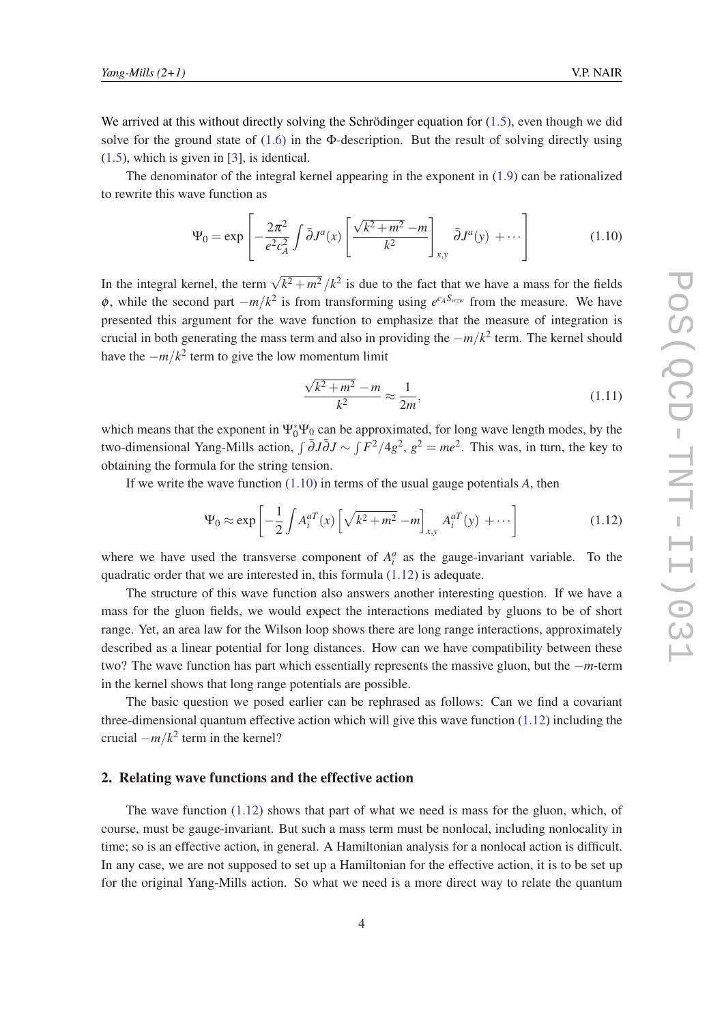<span id="page-3-0"></span>The denominator of the integral kernel appearing in the exponent in ([1.9](#page-2-0)) can be rationalized to rewrite this wave function as

$$
\Psi_0 = \exp\left[-\frac{2\pi^2}{e^2c_A^2} \int \bar{\partial}J^a(x) \left[\frac{\sqrt{k^2 + m^2} - m}{k^2}\right]_{x,y} \bar{\partial}J^a(y) + \cdots\right]
$$
(1.10)

In the integral kernel, the term  $\sqrt{k^2 + m^2}/k^2$  is due to the fact that we have a mass for the fields  $\phi$ , while the second part  $-m/k^2$  is from transforming using  $e^{c_A S_{wzw}}$  from the measure. We have presented this argument for the wave function to emphasize that the measure of integration is crucial in both generating the mass term and also in providing the −*m*/*k* 2 term. The kernel should have the  $-m/k^2$  term to give the low momentum limit

$$
\frac{\sqrt{k^2 + m^2} - m}{k^2} \approx \frac{1}{2m},
$$
\n(1.11)

which means that the exponent in  $\Psi_0^* \Psi_0$  can be approximated, for long wave length modes, by the two-dimensional Yang-Mills action,  $\int \bar{\partial}J\bar{\partial}J \sim \int F^2/4g^2$ ,  $g^2 = me^2$ . This was, in turn, the key to obtaining the formula for the string tension.

If we write the wave function (1.10) in terms of the usual gauge potentials *A*, then

$$
\Psi_0 \approx \exp\left[-\frac{1}{2}\int A_i^{aT}(x)\left[\sqrt{k^2 + m^2} - m\right]_{x,y} A_i^{aT}(y) + \cdots\right]
$$
(1.12)

where we have used the transverse component of  $A_i^a$  as the gauge-invariant variable. To the quadratic order that we are interested in, this formula (1.12) is adequate.

The structure of this wave function also answers another interesting question. If we have a mass for the gluon fields, we would expect the interactions mediated by gluons to be of short range. Yet, an area law for the Wilson loop shows there are long range interactions, approximately described as a linear potential for long distances. How can we have compatibility between these two? The wave function has part which essentially represents the massive gluon, but the −*m*-term in the kernel shows that long range potentials are possible.

The basic question we posed earlier can be rephrased as follows: Can we find a covariant three-dimensional quantum effective action which will give this wave function (1.12) including the crucial  $-m/k^2$  term in the kernel?

# 2. Relating wave functions and the effective action

The wave function (1.12) shows that part of what we need is mass for the gluon, which, of course, must be gauge-invariant. But such a mass term must be nonlocal, including nonlocality in time; so is an effective action, in general. A Hamiltonian analysis for a nonlocal action is difficult. In any case, we are not supposed to set up a Hamiltonian for the effective action, it is to be set up for the original Yang-Mills action. So what we need is a more direct way to relate the quantum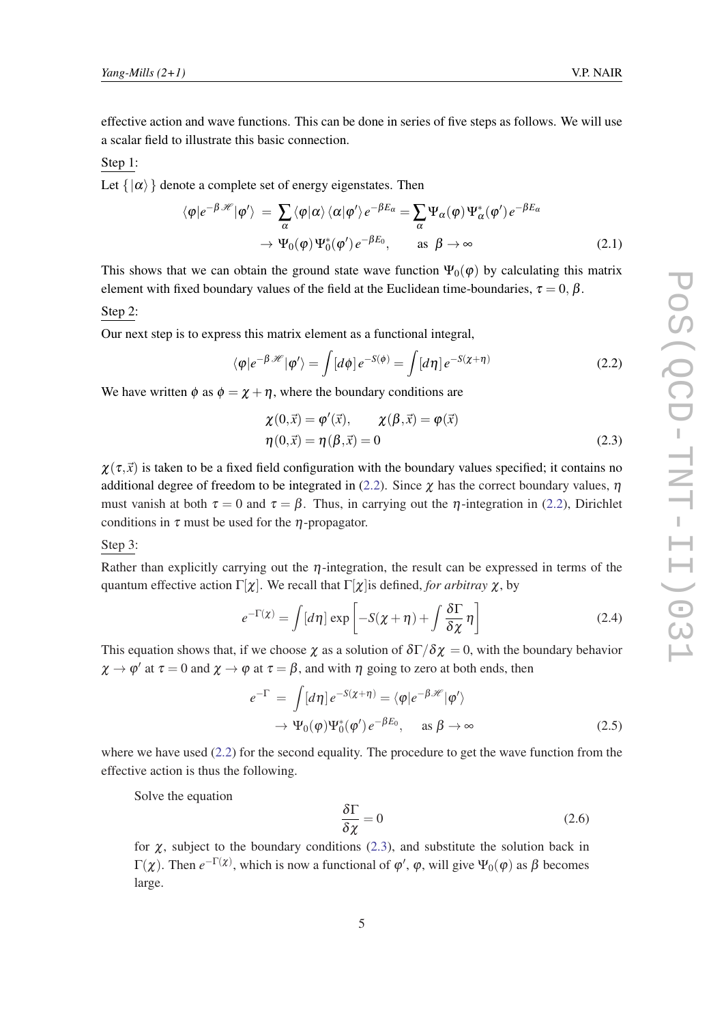<span id="page-4-0"></span>effective action and wave functions. This can be done in series of five steps as follows. We will use a scalar field to illustrate this basic connection.

Step 1:

Let  $\{|\alpha\rangle\}$  denote a complete set of energy eigenstates. Then

$$
\langle \varphi | e^{-\beta \mathscr{H}} | \varphi' \rangle = \sum_{\alpha} \langle \varphi | \alpha \rangle \langle \alpha | \varphi' \rangle e^{-\beta E_{\alpha}} = \sum_{\alpha} \Psi_{\alpha}(\varphi) \Psi_{\alpha}^{*}(\varphi') e^{-\beta E_{\alpha}}
$$
  

$$
\to \Psi_{0}(\varphi) \Psi_{0}^{*}(\varphi') e^{-\beta E_{0}}, \qquad \text{as } \beta \to \infty
$$
 (2.1)

This shows that we can obtain the ground state wave function  $\Psi_0(\varphi)$  by calculating this matrix element with fixed boundary values of the field at the Euclidean time-boundaries,  $\tau = 0$ ,  $\beta$ .

# Step 2:

Our next step is to express this matrix element as a functional integral,

$$
\langle \varphi | e^{-\beta \mathcal{H}} | \varphi' \rangle = \int [d\phi] e^{-S(\phi)} = \int [d\eta] e^{-S(\chi + \eta)} \tag{2.2}
$$

We have written  $\phi$  as  $\phi = \chi + \eta$ , where the boundary conditions are

$$
\chi(0,\vec{x}) = \varphi'(\vec{x}), \qquad \chi(\beta,\vec{x}) = \varphi(\vec{x})
$$

$$
\eta(0,\vec{x}) = \eta(\beta,\vec{x}) = 0
$$
\n(2.3)

 $\chi(\tau,\vec{x})$  is taken to be a fixed field configuration with the boundary values specified; it contains no additional degree of freedom to be integrated in (2.2). Since  $\chi$  has the correct boundary values,  $\eta$ must vanish at both  $\tau = 0$  and  $\tau = \beta$ . Thus, in carrying out the *η*-integration in (2.2), Dirichlet conditions in  $\tau$  must be used for the  $\eta$ -propagator.

#### Step 3:

Rather than explicitly carrying out the  $\eta$ -integration, the result can be expressed in terms of the quantum effective action  $\Gamma[\chi]$ . We recall that  $\Gamma[\chi]$  is defined, *for arbitray*  $\chi$ , by

$$
e^{-\Gamma(\chi)} = \int [d\eta] \exp\left[-S(\chi + \eta) + \int \frac{\delta \Gamma}{\delta \chi} \eta\right]
$$
 (2.4)

This equation shows that, if we choose  $\chi$  as a solution of  $\delta\Gamma/\delta\chi = 0$ , with the boundary behavior  $\chi \to \varphi'$  at  $\tau = 0$  and  $\chi \to \varphi$  at  $\tau = \beta$ , and with  $\eta$  going to zero at both ends, then

$$
e^{-\Gamma} = \int [d\eta] e^{-S(\chi + \eta)} = \langle \varphi | e^{-\beta \mathcal{H}} | \varphi' \rangle
$$
  
 
$$
\to \Psi_0(\varphi) \Psi_0^*(\varphi') e^{-\beta E_0}, \quad \text{as } \beta \to \infty
$$
 (2.5)

where we have used  $(2.2)$  for the second equality. The procedure to get the wave function from the effective action is thus the following.

Solve the equation

$$
\frac{\delta\Gamma}{\delta\chi} = 0\tag{2.6}
$$

for  $\chi$ , subject to the boundary conditions (2.3), and substitute the solution back in  $\Gamma(\chi)$ . Then  $e^{-\Gamma(\chi)}$ , which is now a functional of  $\varphi'$ ,  $\varphi$ , will give  $\Psi_0(\varphi)$  as  $\beta$  becomes large.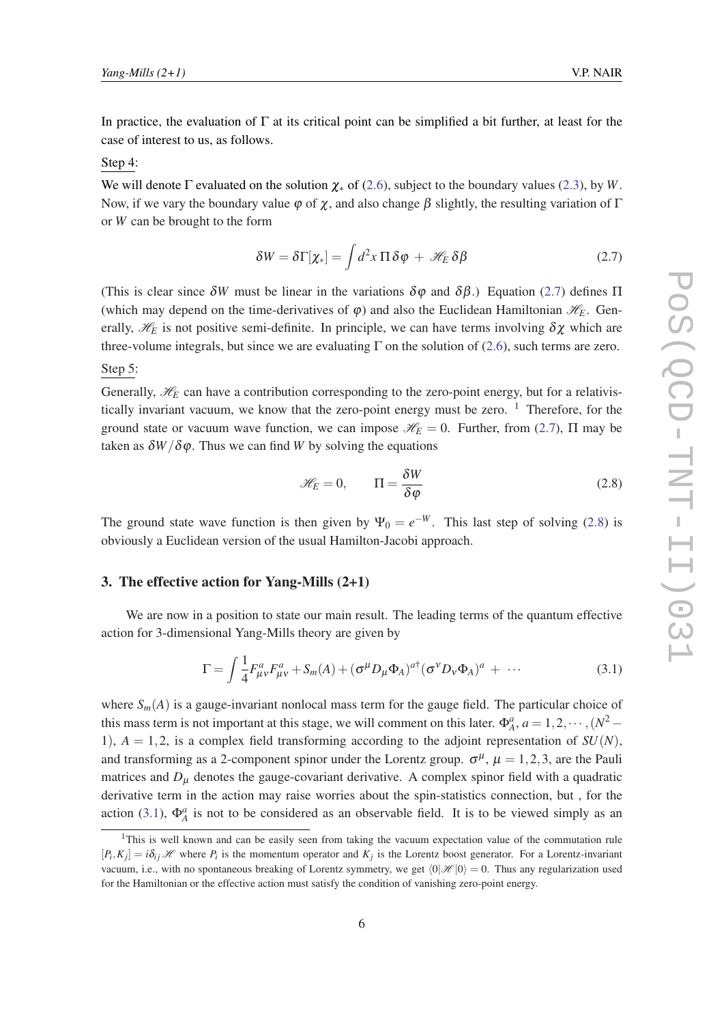<span id="page-5-0"></span>In practice, the evaluation of  $\Gamma$  at its critical point can be simplified a bit further, at least for the case of interest to us, as follows.

#### Step 4:

We will denote  $\Gamma$  evaluated on the solution  $\chi_*$  of ([2.6](#page-4-0)), subject to the boundary values ([2.3\)](#page-4-0), by *W*. Now, if we vary the boundary value  $\varphi$  of  $\chi$ , and also change  $\beta$  slightly, the resulting variation of  $\Gamma$ or *W* can be brought to the form

$$
\delta W = \delta \Gamma[\chi_*] = \int d^2 x \, \Pi \, \delta \varphi + \mathcal{H}_E \, \delta \beta \tag{2.7}
$$

(This is clear since  $\delta W$  must be linear in the variations  $\delta \varphi$  and  $\delta \beta$ .) Equation (2.7) defines  $\Pi$ (which may depend on the time-derivatives of  $\varphi$ ) and also the Euclidean Hamiltonian  $\mathcal{H}_E$ . Generally,  $\mathcal{H}_E$  is not positive semi-definite. In principle, we can have terms involving  $\delta \chi$  which are three-volume integrals, but since we are evaluating  $\Gamma$  on the solution of ([2.6\)](#page-4-0), such terms are zero.

# Step 5:

Generally,  $\mathcal{H}_E$  can have a contribution corresponding to the zero-point energy, but for a relativistically invariant vacuum, we know that the zero-point energy must be zero. <sup>1</sup> Therefore, for the ground state or vacuum wave function, we can impose  $\mathcal{H}_E = 0$ . Further, from (2.7),  $\Pi$  may be taken as  $\delta W/\delta \varphi$ . Thus we can find *W* by solving the equations

$$
\mathcal{H}_E = 0, \qquad \Pi = \frac{\delta W}{\delta \varphi} \tag{2.8}
$$

The ground state wave function is then given by  $\Psi_0 = e^{-W}$ . This last step of solving (2.8) is obviously a Euclidean version of the usual Hamilton-Jacobi approach.

# 3. The effective action for Yang-Mills (2+1)

We are now in a position to state our main result. The leading terms of the quantum effective action for 3-dimensional Yang-Mills theory are given by

$$
\Gamma = \int \frac{1}{4} F_{\mu\nu}^a F_{\mu\nu}^a + S_m(A) + (\sigma^\mu D_\mu \Phi_A)^{a\dagger} (\sigma^\nu D_\nu \Phi_A)^a + \cdots
$$
 (3.1)

where  $S_m(A)$  is a gauge-invariant nonlocal mass term for the gauge field. The particular choice of this mass term is not important at this stage, we will comment on this later.  $\Phi_A^a$ ,  $a = 1, 2, \dots, (N^2 - 1)$ 1),  $A = 1,2$ , is a complex field transforming according to the adjoint representation of  $SU(N)$ , and transforming as a 2-component spinor under the Lorentz group.  $\sigma^{\mu}$ ,  $\mu = 1, 2, 3$ , are the Pauli matrices and  $D<sub>\mu</sub>$  denotes the gauge-covariant derivative. A complex spinor field with a quadratic derivative term in the action may raise worries about the spin-statistics connection, but , for the action (3.1),  $\Phi_A^a$  is not to be considered as an observable field. It is to be viewed simply as an

<sup>&</sup>lt;sup>1</sup>This is well known and can be easily seen from taking the vacuum expectation value of the commutation rule  $[P_i, K_j] = i\delta_{ij}$   $\mathscr H$  where  $P_i$  is the momentum operator and  $K_j$  is the Lorentz boost generator. For a Lorentz-invariant vacuum, i.e., with no spontaneous breaking of Lorentz symmetry, we get  $\langle 0|\mathcal{H}|0\rangle = 0$ . Thus any regularization used for the Hamiltonian or the effective action must satisfy the condition of vanishing zero-point energy.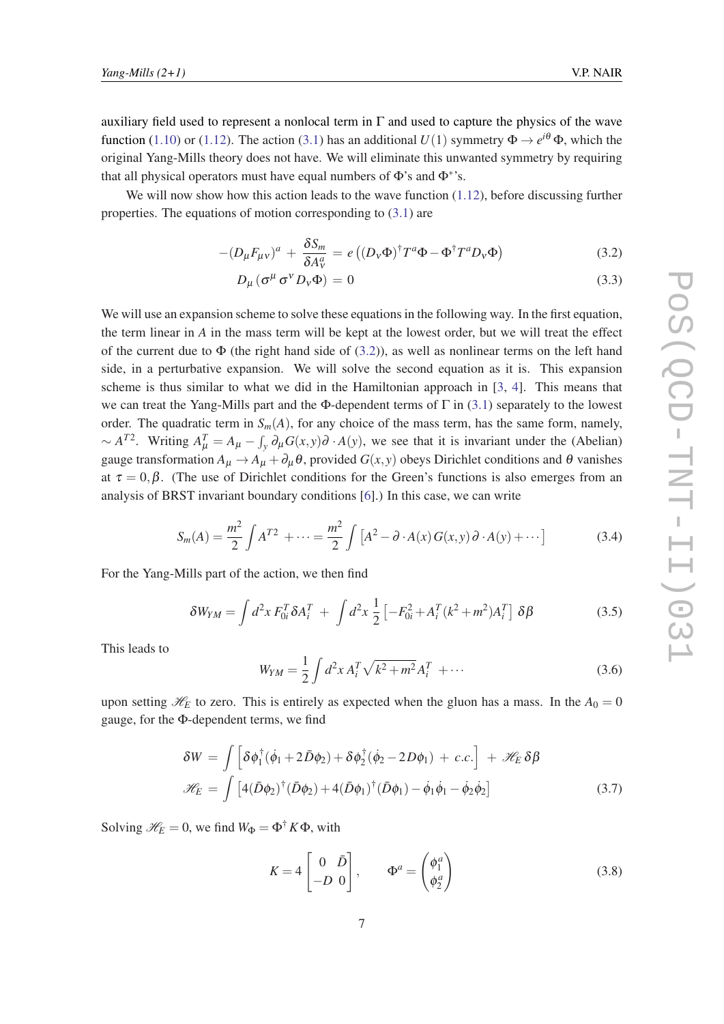auxiliary field used to represent a nonlocal term in  $\Gamma$  and used to capture the physics of the wave function [\(1.10](#page-3-0)) or [\(1.12](#page-3-0)). The action ([3.1\)](#page-5-0) has an additional  $U(1)$  symmetry  $\Phi \to e^{i\theta} \Phi$ , which the original Yang-Mills theory does not have. We will eliminate this unwanted symmetry by requiring that all physical operators must have equal numbers of  $\Phi$ 's and  $\Phi^*$ 's.

We will now show how this action leads to the wave function  $(1.12)$  $(1.12)$ , before discussing further properties. The equations of motion corresponding to ([3.1](#page-5-0)) are

$$
-(D_{\mu}F_{\mu\nu})^{a} + \frac{\delta S_{m}}{\delta A_{\nu}^{a}} = e((D_{\nu}\Phi)^{\dagger}T^{a}\Phi - \Phi^{\dagger}T^{a}D_{\nu}\Phi)
$$
(3.2)

$$
D_{\mu} (\sigma^{\mu} \sigma^{\nu} D_{\nu} \Phi) = 0 \tag{3.3}
$$

We will use an expansion scheme to solve these equations in the following way. In the first equation, the term linear in *A* in the mass term will be kept at the lowest order, but we will treat the effect of the current due to  $\Phi$  (the right hand side of (3.2)), as well as nonlinear terms on the left hand side, in a perturbative expansion. We will solve the second equation as it is. This expansion scheme is thus similar to what we did in the Hamiltonian approach in [[3](#page-9-0), [4\]](#page-9-0). This means that we can treat the Yang-Mills part and the Φ-dependent terms of  $\Gamma$  in [\(3.1\)](#page-5-0) separately to the lowest order. The quadratic term in  $S_m(A)$ , for any choice of the mass term, has the same form, namely,  $\sim A^{T2}$ . Writing  $A^T_\mu = A_\mu - \int_y \partial_\mu G(x, y) \partial \cdot A(y)$ , we see that it is invariant under the (Abelian) gauge transformation  $A_\mu \to A_\mu + \partial_\mu \theta$ , provided  $G(x, y)$  obeys Dirichlet conditions and  $\theta$  vanishes at  $\tau = 0, \beta$ . (The use of Dirichlet conditions for the Green's functions is also emerges from an analysis of BRST invariant boundary conditions [[6](#page-9-0)].) In this case, we can write

$$
S_m(A) = \frac{m^2}{2} \int A^{T2} + \dots = \frac{m^2}{2} \int \left[ A^2 - \partial \cdot A(x) G(x, y) \partial \cdot A(y) + \dots \right]
$$
(3.4)

For the Yang-Mills part of the action, we then find

$$
\delta W_{YM} = \int d^2x \, F_{0i}^T \delta A_i^T + \int d^2x \, \frac{1}{2} \left[ -F_{0i}^2 + A_i^T (k^2 + m^2) A_i^T \right] \, \delta \beta \tag{3.5}
$$

This leads to

$$
W_{YM} = \frac{1}{2} \int d^2x A_i^T \sqrt{k^2 + m^2} A_i^T + \cdots
$$
 (3.6)

upon setting  $\mathcal{H}_E$  to zero. This is entirely as expected when the gluon has a mass. In the  $A_0 = 0$ gauge, for the Φ-dependent terms, we find

$$
\delta W = \int \left[ \delta \phi_1^{\dagger} (\dot{\phi}_1 + 2 \bar{D} \phi_2) + \delta \phi_2^{\dagger} (\dot{\phi}_2 - 2 D \phi_1) + c.c. \right] + \mathcal{H}_E \delta \beta
$$
  

$$
\mathcal{H}_E = \int \left[ 4 (\bar{D} \phi_2)^{\dagger} (\bar{D} \phi_2) + 4 (\bar{D} \phi_1)^{\dagger} (\bar{D} \phi_1) - \dot{\phi}_1 \dot{\phi}_1 - \dot{\phi}_2 \dot{\phi}_2 \right]
$$
(3.7)

Solving  $\mathcal{H}_E = 0$ , we find  $W_{\Phi} = \Phi^{\dagger} K \Phi$ , with

$$
K = 4 \begin{bmatrix} 0 & \bar{D} \\ -D & 0 \end{bmatrix}, \qquad \Phi^a = \begin{pmatrix} \phi_1^a \\ \phi_2^a \end{pmatrix}
$$
 (3.8)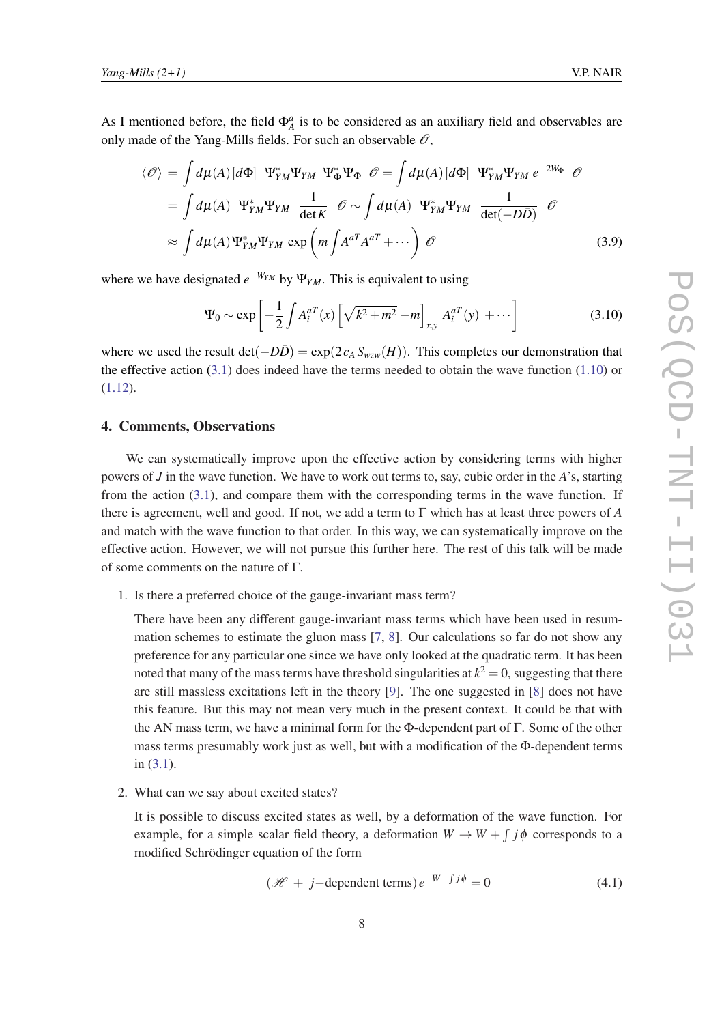As I mentioned before, the field  $\Phi_A^a$  is to be considered as an auxiliary field and observables are only made of the Yang-Mills fields. For such an observable  $\mathcal{O}$ ,

$$
\langle \mathcal{O} \rangle = \int d\mu(A) \left[ d\Phi \right] \Psi_{YM}^* \Psi_{YM} \Psi_{\Phi}^* \Psi_{\Phi} \quad \mathcal{O} = \int d\mu(A) \left[ d\Phi \right] \Psi_{YM}^* \Psi_{YM} \quad \mathcal{O}
$$

$$
= \int d\mu(A) \Psi_{YM}^* \Psi_{YM} \frac{1}{\det K} \quad \mathcal{O} \sim \int d\mu(A) \Psi_{YM}^* \Psi_{YM} \frac{1}{\det(-D\bar{D})} \quad \mathcal{O}
$$

$$
\approx \int d\mu(A) \Psi_{YM}^* \Psi_{YM} \exp\left(m \int A^{aT} A^{aT} + \cdots \right) \mathcal{O}
$$
(3.9)

where we have designated  $e^{-W_{YM}}$  by  $\Psi_{YM}$ . This is equivalent to using

$$
\Psi_0 \sim \exp\left[-\frac{1}{2}\int A_i^{aT}(x) \left[\sqrt{k^2 + m^2} - m\right]_{x,y} A_i^{aT}(y) + \cdots\right]
$$
\n(3.10)

where we used the result  $\det(-D\bar{D}) = \exp(2c_A S_{wzw}(H))$ . This completes our demonstration that the effective action ([3.1](#page-5-0)) does indeed have the terms needed to obtain the wave function [\(1.10](#page-3-0)) or ([1.12](#page-3-0)).

# 4. Comments, Observations

We can systematically improve upon the effective action by considering terms with higher powers of *J* in the wave function. We have to work out terms to, say, cubic order in the *A*'s, starting from the action  $(3.1)$ , and compare them with the corresponding terms in the wave function. If there is agreement, well and good. If not, we add a term to Γ which has at least three powers of *A* and match with the wave function to that order. In this way, we can systematically improve on the effective action. However, we will not pursue this further here. The rest of this talk will be made of some comments on the nature of Γ.

1. Is there a preferred choice of the gauge-invariant mass term?

There have been any different gauge-invariant mass terms which have been used in resummation schemes to estimate the gluon mass [\[7,](#page-9-0) [8\]](#page-9-0). Our calculations so far do not show any preference for any particular one since we have only looked at the quadratic term. It has been noted that many of the mass terms have threshold singularities at  $k^2 = 0$ , suggesting that there are still massless excitations left in the theory [\[9\]](#page-9-0). The one suggested in [[8](#page-9-0)] does not have this feature. But this may not mean very much in the present context. It could be that with the AN mass term, we have a minimal form for the Φ-dependent part of Γ. Some of the other mass terms presumably work just as well, but with a modification of the Φ-dependent terms in [\(3.1\)](#page-5-0).

2. What can we say about excited states?

It is possible to discuss excited states as well, by a deformation of the wave function. For example, for a simple scalar field theory, a deformation  $W \to W + \int j\phi$  corresponds to a modified Schrödinger equation of the form

$$
(\mathcal{H} + j-\text{dependent terms})e^{-W-\int j\phi} = 0 \tag{4.1}
$$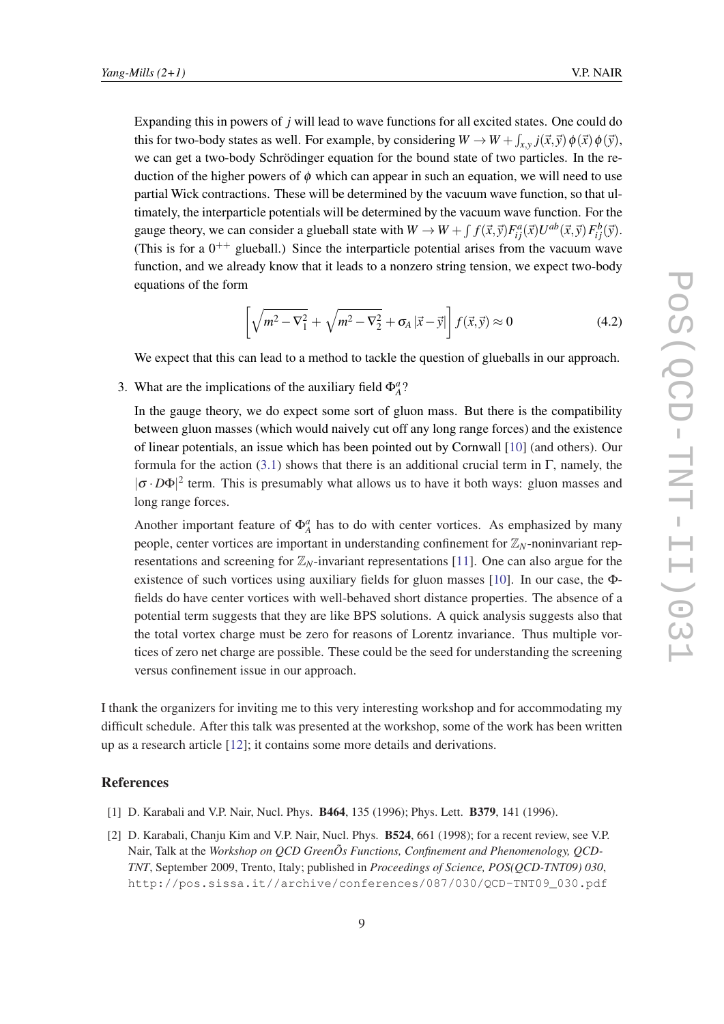<span id="page-8-0"></span>Expanding this in powers of *j* will lead to wave functions for all excited states. One could do this for two-body states as well. For example, by considering  $W \to W + \int_{x,y} j(\vec{x}, \vec{y}) \phi(\vec{x}) \phi(\vec{y})$ , we can get a two-body Schrödinger equation for the bound state of two particles. In the reduction of the higher powers of  $\phi$  which can appear in such an equation, we will need to use partial Wick contractions. These will be determined by the vacuum wave function, so that ultimately, the interparticle potentials will be determined by the vacuum wave function. For the gauge theory, we can consider a glueball state with  $W \to W + \int f(\vec{x}, \vec{y}) F_{ij}^a(\vec{x}) U^{ab}(\vec{x}, \vec{y}) F_{ij}^b(\vec{y})$ . (This is for a  $0^{++}$  glueball.) Since the interparticle potential arises from the vacuum wave function, and we already know that it leads to a nonzero string tension, we expect two-body equations of the form

$$
\left[\sqrt{m^2 - \nabla_1^2} + \sqrt{m^2 - \nabla_2^2} + \sigma_A |\vec{x} - \vec{y}| \right] f(\vec{x}, \vec{y}) \approx 0 \tag{4.2}
$$

We expect that this can lead to a method to tackle the question of glueballs in our approach.

3. What are the implications of the auxiliary field  $\Phi_A^a$ ?

In the gauge theory, we do expect some sort of gluon mass. But there is the compatibility between gluon masses (which would naively cut off any long range forces) and the existence of linear potentials, an issue which has been pointed out by Cornwall [[10\]](#page-9-0) (and others). Our formula for the action [\(3.1\)](#page-5-0) shows that there is an additional crucial term in  $\Gamma$ , namely, the  $|\sigma \cdot D\Phi|^2$  term. This is presumably what allows us to have it both ways: gluon masses and long range forces.

Another important feature of  $\Phi_A^a$  has to do with center vortices. As emphasized by many people, center vortices are important in understanding confinement for  $\mathbb{Z}_N$ -noninvariant representations and screening for  $\mathbb{Z}_N$ -invariant representations [\[11](#page-9-0)]. One can also argue for the existence of such vortices using auxiliary fields for gluon masses [[10\]](#page-9-0). In our case, the Φfields do have center vortices with well-behaved short distance properties. The absence of a potential term suggests that they are like BPS solutions. A quick analysis suggests also that the total vortex charge must be zero for reasons of Lorentz invariance. Thus multiple vortices of zero net charge are possible. These could be the seed for understanding the screening versus confinement issue in our approach.

I thank the organizers for inviting me to this very interesting workshop and for accommodating my difficult schedule. After this talk was presented at the workshop, some of the work has been written up as a research article [\[12\]](#page-9-0); it contains some more details and derivations.

# **References**

- [1] D. Karabali and V.P. Nair, Nucl. Phys. B464, 135 (1996); Phys. Lett. B379, 141 (1996).
- [2] D. Karabali, Chanju Kim and V.P. Nair, Nucl. Phys. B524, 661 (1998); for a recent review, see V.P. Nair, Talk at the *Workshop on QCD GreenÕs Functions, Confinement and Phenomenology, QCD-TNT*, September 2009, Trento, Italy; published in *Proceedings of Science, POS(QCD-TNT09) 030*, http://pos.sissa.it//archive/conferences/087/030/QCD-TNT09\_030.pdf